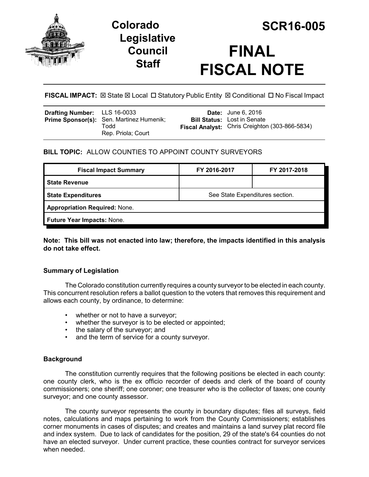

# **Legislative Council Staff**



# **FINAL FISCAL NOTE**

**FISCAL IMPACT:** ⊠ State ⊠ Local □ Statutory Public Entity ⊠ Conditional □ No Fiscal Impact

| <b>Drafting Number:</b> LLS 16-0033 | Prime Sponsor(s): Sen. Martinez Humenik;<br>Todd<br>Rep. Priola; Court |  | <b>Date:</b> June 6, 2016<br><b>Bill Status:</b> Lost in Senate<br>Fiscal Analyst: Chris Creighton (303-866-5834) |
|-------------------------------------|------------------------------------------------------------------------|--|-------------------------------------------------------------------------------------------------------------------|
|-------------------------------------|------------------------------------------------------------------------|--|-------------------------------------------------------------------------------------------------------------------|

# **BILL TOPIC:** ALLOW COUNTIES TO APPOINT COUNTY SURVEYORS

| <b>Fiscal Impact Summary</b>         | FY 2016-2017                    | FY 2017-2018 |  |  |  |
|--------------------------------------|---------------------------------|--------------|--|--|--|
| <b>State Revenue</b>                 |                                 |              |  |  |  |
| <b>State Expenditures</b>            | See State Expenditures section. |              |  |  |  |
| <b>Appropriation Required: None.</b> |                                 |              |  |  |  |
| Future Year Impacts: None.           |                                 |              |  |  |  |

**Note: This bill was not enacted into law; therefore, the impacts identified in this analysis do not take effect.** 

## **Summary of Legislation**

The Colorado constitution currently requires a county surveyor to be elected in each county. This concurrent resolution refers a ballot question to the voters that removes this requirement and allows each county, by ordinance, to determine:

- whether or not to have a surveyor;
- whether the surveyor is to be elected or appointed;
- the salary of the surveyor; and
- and the term of service for a county surveyor.

### **Background**

The constitution currently requires that the following positions be elected in each county: one county clerk, who is the ex officio recorder of deeds and clerk of the board of county commissioners; one sheriff; one coroner; one treasurer who is the collector of taxes; one county surveyor; and one county assessor.

The county surveyor represents the county in boundary disputes; files all surveys, field notes, calculations and maps pertaining to work from the County Commissioners; establishes corner monuments in cases of disputes; and creates and maintains a land survey plat record file and index system. Due to lack of candidates for the position, 29 of the state's 64 counties do not have an elected surveyor. Under current practice, these counties contract for surveyor services when needed.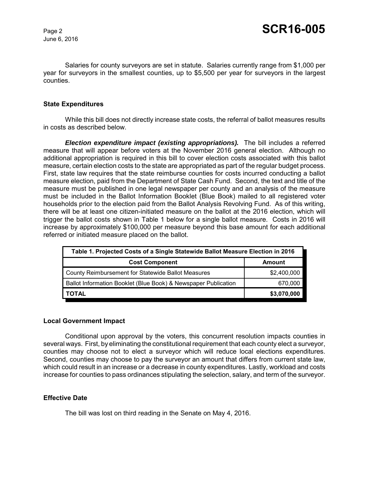June 6, 2016

Salaries for county surveyors are set in statute. Salaries currently range from \$1,000 per year for surveyors in the smallest counties, up to \$5,500 per year for surveyors in the largest counties.

#### **State Expenditures**

While this bill does not directly increase state costs, the referral of ballot measures results in costs as described below.

*Election expenditure impact (existing appropriations).* The bill includes a referred measure that will appear before voters at the November 2016 general election. Although no additional appropriation is required in this bill to cover election costs associated with this ballot measure, certain election costs to the state are appropriated as part of the regular budget process. First, state law requires that the state reimburse counties for costs incurred conducting a ballot measure election, paid from the Department of State Cash Fund. Second, the text and title of the measure must be published in one legal newspaper per county and an analysis of the measure must be included in the Ballot Information Booklet (Blue Book) mailed to all registered voter households prior to the election paid from the Ballot Analysis Revolving Fund. As of this writing, there will be at least one citizen-initiated measure on the ballot at the 2016 election, which will trigger the ballot costs shown in Table 1 below for a single ballot measure. Costs in 2016 will increase by approximately \$100,000 per measure beyond this base amount for each additional referred or initiated measure placed on the ballot.

| Table 1. Projected Costs of a Single Statewide Ballot Measure Election in 2016 |             |  |  |
|--------------------------------------------------------------------------------|-------------|--|--|
| <b>Cost Component</b>                                                          | Amount      |  |  |
| County Reimbursement for Statewide Ballot Measures                             | \$2,400,000 |  |  |
| Ballot Information Booklet (Blue Book) & Newspaper Publication                 | 670,000     |  |  |
| <b>TOTAL</b>                                                                   | \$3,070,000 |  |  |

#### **Local Government Impact**

Conditional upon approval by the voters, this concurrent resolution impacts counties in several ways. First, by eliminating the constitutional requirement that each county elect a surveyor, counties may choose not to elect a surveyor which will reduce local elections expenditures. Second, counties may choose to pay the surveyor an amount that differs from current state law, which could result in an increase or a decrease in county expenditures. Lastly, workload and costs increase for counties to pass ordinances stipulating the selection, salary, and term of the surveyor.

#### **Effective Date**

The bill was lost on third reading in the Senate on May 4, 2016.